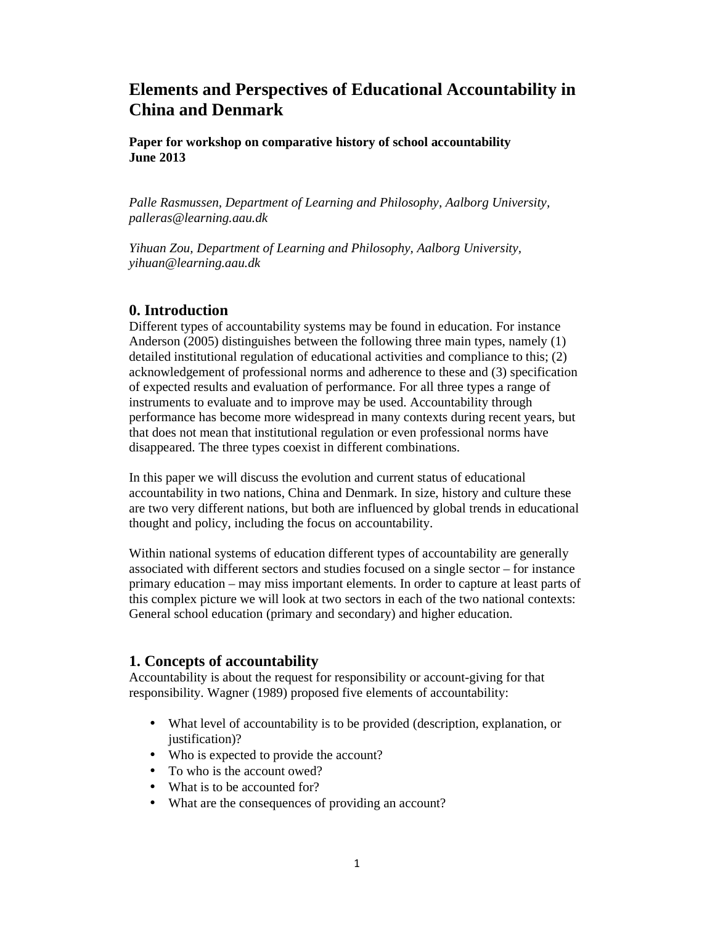# **Elements and Perspectives of Educational Accountability in China and Denmark**

**Paper for workshop on comparative history of school accountability June 2013**

*Palle Rasmussen, Department of Learning and Philosophy, Aalborg University, palleras@learning.aau.dk* 

*Yihuan Zou, Department of Learning and Philosophy, Aalborg University, yihuan@learning.aau.dk* 

#### **0. Introduction**

Different types of accountability systems may be found in education. For instance Anderson (2005) distinguishes between the following three main types, namely (1) detailed institutional regulation of educational activities and compliance to this; (2) acknowledgement of professional norms and adherence to these and (3) specification of expected results and evaluation of performance. For all three types a range of instruments to evaluate and to improve may be used. Accountability through performance has become more widespread in many contexts during recent years, but that does not mean that institutional regulation or even professional norms have disappeared. The three types coexist in different combinations.

In this paper we will discuss the evolution and current status of educational accountability in two nations, China and Denmark. In size, history and culture these are two very different nations, but both are influenced by global trends in educational thought and policy, including the focus on accountability.

Within national systems of education different types of accountability are generally associated with different sectors and studies focused on a single sector – for instance primary education – may miss important elements. In order to capture at least parts of this complex picture we will look at two sectors in each of the two national contexts: General school education (primary and secondary) and higher education.

### **1. Concepts of accountability**

Accountability is about the request for responsibility or account-giving for that responsibility. Wagner (1989) proposed five elements of accountability:

- What level of accountability is to be provided (description, explanation, or justification)?
- Who is expected to provide the account?
- To who is the account owed?
- What is to be accounted for?
- What are the consequences of providing an account?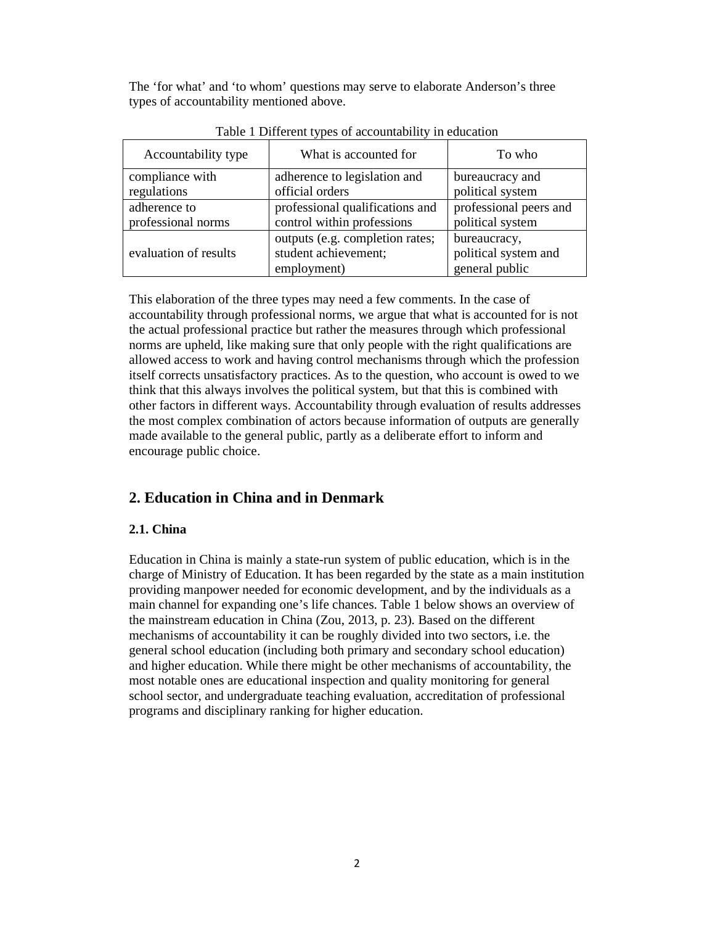The 'for what' and 'to whom' questions may serve to elaborate Anderson's three types of accountability mentioned above.

| Accountability type   | What is accounted for                                                  | To who                                                 |
|-----------------------|------------------------------------------------------------------------|--------------------------------------------------------|
| compliance with       | adherence to legislation and                                           | bureaucracy and                                        |
| regulations           | official orders                                                        | political system                                       |
| adherence to          | professional qualifications and                                        | professional peers and                                 |
| professional norms    | control within professions                                             | political system                                       |
| evaluation of results | outputs (e.g. completion rates;<br>student achievement;<br>employment) | bureaucracy,<br>political system and<br>general public |

Table 1 Different types of accountability in education

This elaboration of the three types may need a few comments. In the case of accountability through professional norms, we argue that what is accounted for is not the actual professional practice but rather the measures through which professional norms are upheld, like making sure that only people with the right qualifications are allowed access to work and having control mechanisms through which the profession itself corrects unsatisfactory practices. As to the question, who account is owed to we think that this always involves the political system, but that this is combined with other factors in different ways. Accountability through evaluation of results addresses the most complex combination of actors because information of outputs are generally made available to the general public, partly as a deliberate effort to inform and encourage public choice.

# **2. Education in China and in Denmark**

#### **2.1. China**

Education in China is mainly a state-run system of public education, which is in the charge of Ministry of Education. It has been regarded by the state as a main institution providing manpower needed for economic development, and by the individuals as a main channel for expanding one's life chances. Table 1 below shows an overview of the mainstream education in China (Zou, 2013, p. 23). Based on the different mechanisms of accountability it can be roughly divided into two sectors, i.e. the general school education (including both primary and secondary school education) and higher education. While there might be other mechanisms of accountability, the most notable ones are educational inspection and quality monitoring for general school sector, and undergraduate teaching evaluation, accreditation of professional programs and disciplinary ranking for higher education.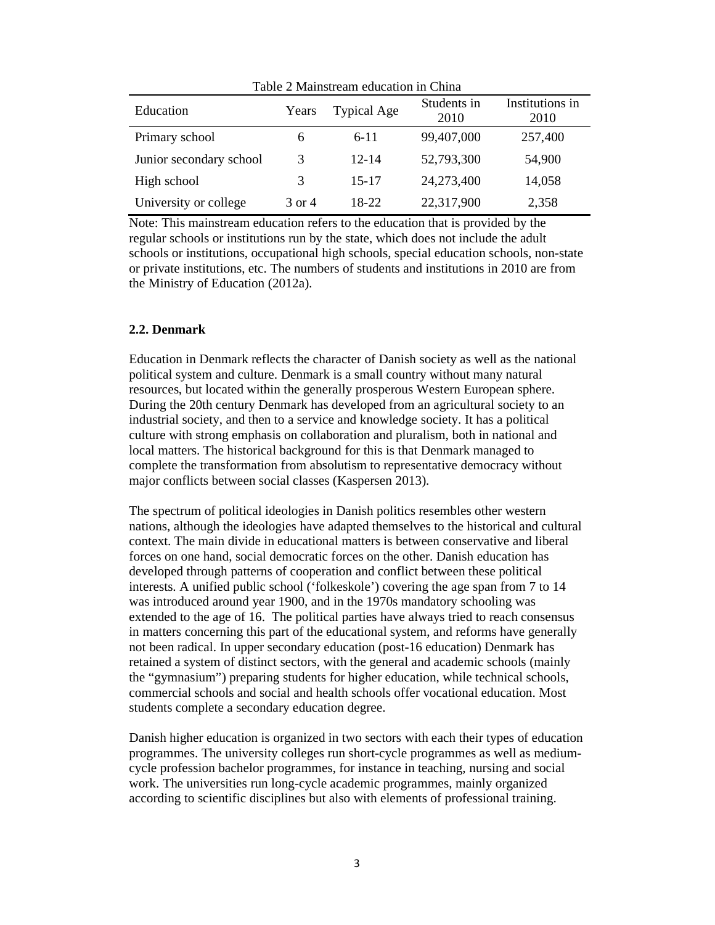| Table 2 Mainstream education in China |        |                    |                     |                         |  |  |
|---------------------------------------|--------|--------------------|---------------------|-------------------------|--|--|
| Education                             | Years  | <b>Typical Age</b> | Students in<br>2010 | Institutions in<br>2010 |  |  |
| Primary school                        | 6      | $6 - 11$           | 99,407,000          | 257,400                 |  |  |
| Junior secondary school               | 3      | $12 - 14$          | 52,793,300          | 54,900                  |  |  |
| High school                           | 3      | $15 - 17$          | 24,273,400          | 14,058                  |  |  |
| University or college                 | 3 or 4 | 18-22              | 22,317,900          | 2,358                   |  |  |

Note: This mainstream education refers to the education that is provided by the regular schools or institutions run by the state, which does not include the adult schools or institutions, occupational high schools, special education schools, non-state or private institutions, etc. The numbers of students and institutions in 2010 are from the Ministry of Education (2012a).

#### **2.2. Denmark**

Education in Denmark reflects the character of Danish society as well as the national political system and culture. Denmark is a small country without many natural resources, but located within the generally prosperous Western European sphere. During the 20th century Denmark has developed from an agricultural society to an industrial society, and then to a service and knowledge society. It has a political culture with strong emphasis on collaboration and pluralism, both in national and local matters. The historical background for this is that Denmark managed to complete the transformation from absolutism to representative democracy without major conflicts between social classes (Kaspersen 2013).

The spectrum of political ideologies in Danish politics resembles other western nations, although the ideologies have adapted themselves to the historical and cultural context. The main divide in educational matters is between conservative and liberal forces on one hand, social democratic forces on the other. Danish education has developed through patterns of cooperation and conflict between these political interests. A unified public school ('folkeskole') covering the age span from 7 to 14 was introduced around year 1900, and in the 1970s mandatory schooling was extended to the age of 16. The political parties have always tried to reach consensus in matters concerning this part of the educational system, and reforms have generally not been radical. In upper secondary education (post-16 education) Denmark has retained a system of distinct sectors, with the general and academic schools (mainly the "gymnasium") preparing students for higher education, while technical schools, commercial schools and social and health schools offer vocational education. Most students complete a secondary education degree.

Danish higher education is organized in two sectors with each their types of education programmes. The university colleges run short-cycle programmes as well as mediumcycle profession bachelor programmes, for instance in teaching, nursing and social work. The universities run long-cycle academic programmes, mainly organized according to scientific disciplines but also with elements of professional training.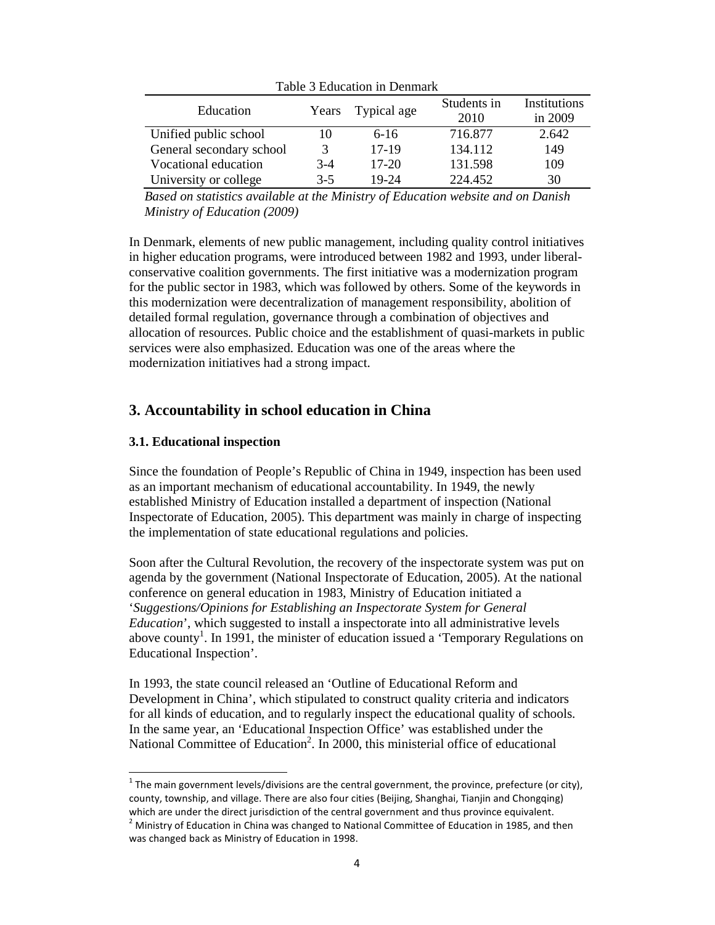| Table 3 Education in Denmark |         |                   |                     |                         |  |  |
|------------------------------|---------|-------------------|---------------------|-------------------------|--|--|
| Education                    |         | Years Typical age | Students in<br>2010 | Institutions<br>in 2009 |  |  |
| Unified public school        | 10      | $6-16$            | 716.877             | 2.642                   |  |  |
| General secondary school     | 3       | 17-19             | 134.112             | 149                     |  |  |
| Vocational education         | $3-4$   | $17-20$           | 131.598             | 109                     |  |  |
| University or college        | $3 - 5$ | 19-24             | 224.452             | 30                      |  |  |

*Based on statistics available at the Ministry of Education website and on Danish Ministry of Education (2009)* 

In Denmark, elements of new public management, including quality control initiatives in higher education programs, were introduced between 1982 and 1993, under liberalconservative coalition governments. The first initiative was a modernization program for the public sector in 1983, which was followed by others. Some of the keywords in this modernization were decentralization of management responsibility, abolition of detailed formal regulation, governance through a combination of objectives and allocation of resources. Public choice and the establishment of quasi-markets in public services were also emphasized. Education was one of the areas where the modernization initiatives had a strong impact.

## **3. Accountability in school education in China**

#### **3.1. Educational inspection**

l,

Since the foundation of People's Republic of China in 1949, inspection has been used as an important mechanism of educational accountability. In 1949, the newly established Ministry of Education installed a department of inspection (National Inspectorate of Education, 2005). This department was mainly in charge of inspecting the implementation of state educational regulations and policies.

Soon after the Cultural Revolution, the recovery of the inspectorate system was put on agenda by the government (National Inspectorate of Education, 2005). At the national conference on general education in 1983, Ministry of Education initiated a '*Suggestions/Opinions for Establishing an Inspectorate System for General Education*', which suggested to install a inspectorate into all administrative levels above county<sup>1</sup>. In 1991, the minister of education issued a 'Temporary Regulations on Educational Inspection'.

In 1993, the state council released an 'Outline of Educational Reform and Development in China', which stipulated to construct quality criteria and indicators for all kinds of education, and to regularly inspect the educational quality of schools. In the same year, an 'Educational Inspection Office' was established under the National Committee of Education<sup>2</sup>. In 2000, this ministerial office of educational

 $1$  The main government levels/divisions are the central government, the province, prefecture (or city), county, township, and village. There are also four cities (Beijing, Shanghai, Tianjin and Chongqing) which are under the direct jurisdiction of the central government and thus province equivalent.

 $2$  Ministry of Education in China was changed to National Committee of Education in 1985, and then was changed back as Ministry of Education in 1998.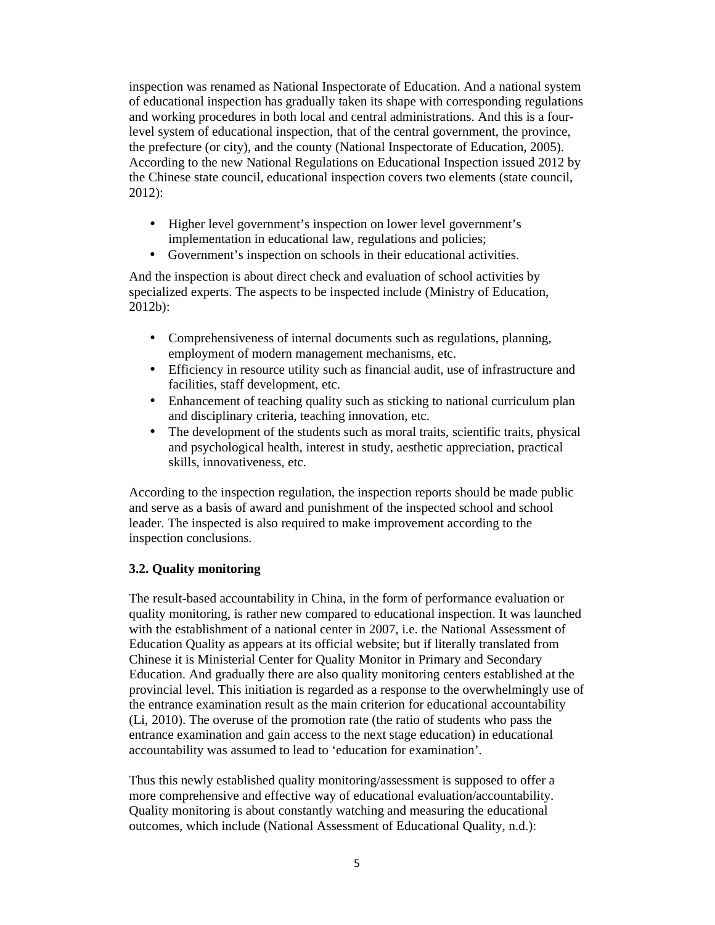inspection was renamed as National Inspectorate of Education. And a national system of educational inspection has gradually taken its shape with corresponding regulations and working procedures in both local and central administrations. And this is a fourlevel system of educational inspection, that of the central government, the province, the prefecture (or city), and the county (National Inspectorate of Education, 2005). According to the new National Regulations on Educational Inspection issued 2012 by the Chinese state council, educational inspection covers two elements (state council, 2012):

- Higher level government's inspection on lower level government's implementation in educational law, regulations and policies;
- Government's inspection on schools in their educational activities.

And the inspection is about direct check and evaluation of school activities by specialized experts. The aspects to be inspected include (Ministry of Education, 2012b):

- Comprehensiveness of internal documents such as regulations, planning, employment of modern management mechanisms, etc.
- Efficiency in resource utility such as financial audit, use of infrastructure and facilities, staff development, etc.
- Enhancement of teaching quality such as sticking to national curriculum plan and disciplinary criteria, teaching innovation, etc.
- The development of the students such as moral traits, scientific traits, physical and psychological health, interest in study, aesthetic appreciation, practical skills, innovativeness, etc.

According to the inspection regulation, the inspection reports should be made public and serve as a basis of award and punishment of the inspected school and school leader. The inspected is also required to make improvement according to the inspection conclusions.

### **3.2. Quality monitoring**

The result-based accountability in China, in the form of performance evaluation or quality monitoring, is rather new compared to educational inspection. It was launched with the establishment of a national center in 2007, i.e. the National Assessment of Education Quality as appears at its official website; but if literally translated from Chinese it is Ministerial Center for Quality Monitor in Primary and Secondary Education. And gradually there are also quality monitoring centers established at the provincial level. This initiation is regarded as a response to the overwhelmingly use of the entrance examination result as the main criterion for educational accountability (Li, 2010). The overuse of the promotion rate (the ratio of students who pass the entrance examination and gain access to the next stage education) in educational accountability was assumed to lead to 'education for examination'.

Thus this newly established quality monitoring/assessment is supposed to offer a more comprehensive and effective way of educational evaluation/accountability. Quality monitoring is about constantly watching and measuring the educational outcomes, which include (National Assessment of Educational Quality, n.d.):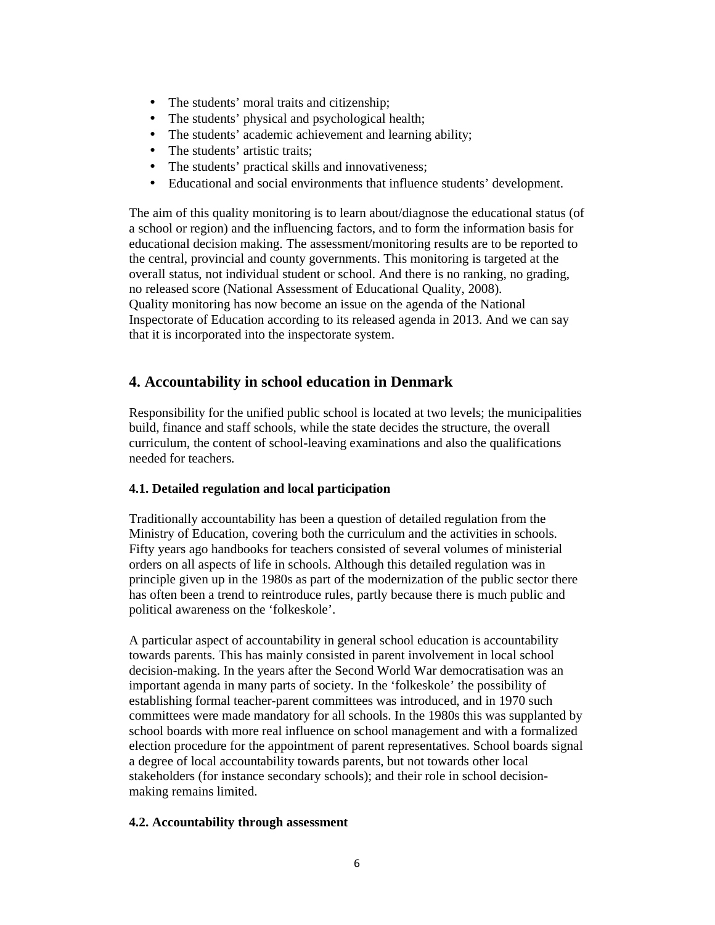- The students' moral traits and citizenship;
- The students' physical and psychological health;
- The students' academic achievement and learning ability;
- The students' artistic traits:
- The students' practical skills and innovativeness;
- Educational and social environments that influence students' development.

The aim of this quality monitoring is to learn about/diagnose the educational status (of a school or region) and the influencing factors, and to form the information basis for educational decision making. The assessment/monitoring results are to be reported to the central, provincial and county governments. This monitoring is targeted at the overall status, not individual student or school. And there is no ranking, no grading, no released score (National Assessment of Educational Quality, 2008). Quality monitoring has now become an issue on the agenda of the National Inspectorate of Education according to its released agenda in 2013. And we can say that it is incorporated into the inspectorate system.

# **4. Accountability in school education in Denmark**

Responsibility for the unified public school is located at two levels; the municipalities build, finance and staff schools, while the state decides the structure, the overall curriculum, the content of school-leaving examinations and also the qualifications needed for teachers.

### **4.1. Detailed regulation and local participation**

Traditionally accountability has been a question of detailed regulation from the Ministry of Education, covering both the curriculum and the activities in schools. Fifty years ago handbooks for teachers consisted of several volumes of ministerial orders on all aspects of life in schools. Although this detailed regulation was in principle given up in the 1980s as part of the modernization of the public sector there has often been a trend to reintroduce rules, partly because there is much public and political awareness on the 'folkeskole'.

A particular aspect of accountability in general school education is accountability towards parents. This has mainly consisted in parent involvement in local school decision-making. In the years after the Second World War democratisation was an important agenda in many parts of society. In the 'folkeskole' the possibility of establishing formal teacher-parent committees was introduced, and in 1970 such committees were made mandatory for all schools. In the 1980s this was supplanted by school boards with more real influence on school management and with a formalized election procedure for the appointment of parent representatives. School boards signal a degree of local accountability towards parents, but not towards other local stakeholders (for instance secondary schools); and their role in school decisionmaking remains limited.

#### **4.2. Accountability through assessment**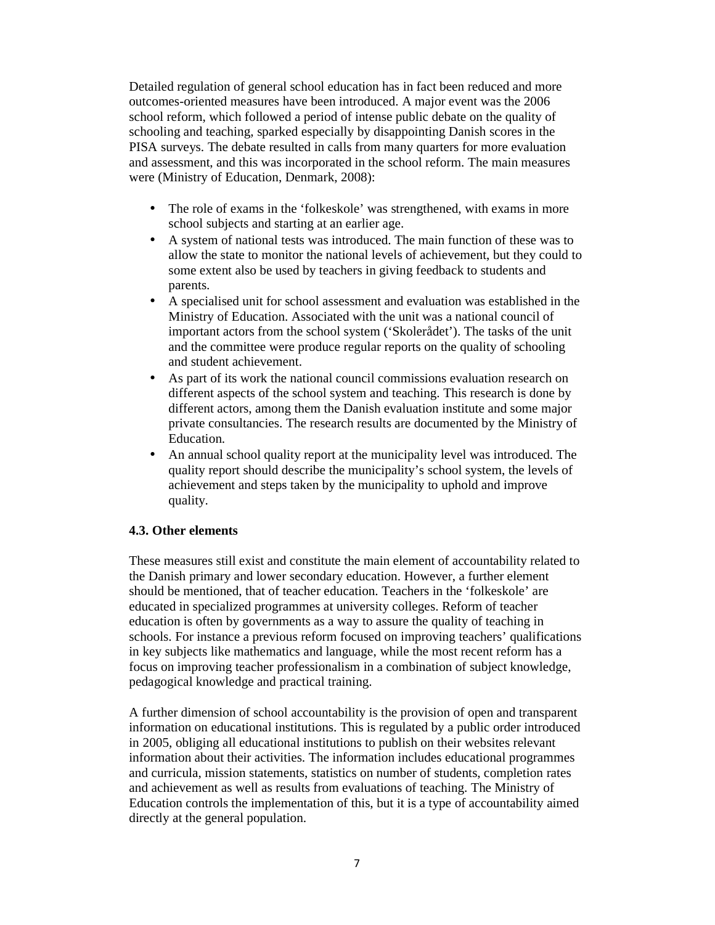Detailed regulation of general school education has in fact been reduced and more outcomes-oriented measures have been introduced. A major event was the 2006 school reform, which followed a period of intense public debate on the quality of schooling and teaching, sparked especially by disappointing Danish scores in the PISA surveys. The debate resulted in calls from many quarters for more evaluation and assessment, and this was incorporated in the school reform. The main measures were (Ministry of Education, Denmark, 2008):

- The role of exams in the 'folkeskole' was strengthened, with exams in more school subjects and starting at an earlier age.
- A system of national tests was introduced. The main function of these was to allow the state to monitor the national levels of achievement, but they could to some extent also be used by teachers in giving feedback to students and parents.
- A specialised unit for school assessment and evaluation was established in the Ministry of Education. Associated with the unit was a national council of important actors from the school system ('Skolerådet'). The tasks of the unit and the committee were produce regular reports on the quality of schooling and student achievement.
- As part of its work the national council commissions evaluation research on different aspects of the school system and teaching. This research is done by different actors, among them the Danish evaluation institute and some major private consultancies. The research results are documented by the Ministry of Education.
- An annual school quality report at the municipality level was introduced. The quality report should describe the municipality's school system, the levels of achievement and steps taken by the municipality to uphold and improve quality.

#### **4.3. Other elements**

These measures still exist and constitute the main element of accountability related to the Danish primary and lower secondary education. However, a further element should be mentioned, that of teacher education. Teachers in the 'folkeskole' are educated in specialized programmes at university colleges. Reform of teacher education is often by governments as a way to assure the quality of teaching in schools. For instance a previous reform focused on improving teachers' qualifications in key subjects like mathematics and language, while the most recent reform has a focus on improving teacher professionalism in a combination of subject knowledge, pedagogical knowledge and practical training.

A further dimension of school accountability is the provision of open and transparent information on educational institutions. This is regulated by a public order introduced in 2005, obliging all educational institutions to publish on their websites relevant information about their activities. The information includes educational programmes and curricula, mission statements, statistics on number of students, completion rates and achievement as well as results from evaluations of teaching. The Ministry of Education controls the implementation of this, but it is a type of accountability aimed directly at the general population.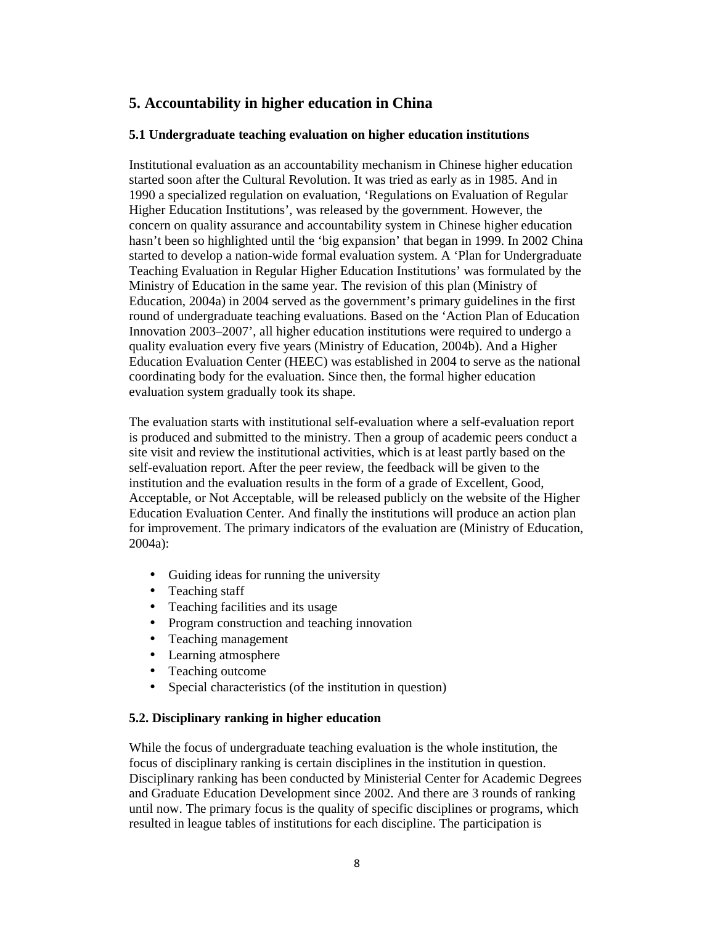# **5. Accountability in higher education in China**

#### **5.1 Undergraduate teaching evaluation on higher education institutions**

Institutional evaluation as an accountability mechanism in Chinese higher education started soon after the Cultural Revolution. It was tried as early as in 1985. And in 1990 a specialized regulation on evaluation, 'Regulations on Evaluation of Regular Higher Education Institutions', was released by the government. However, the concern on quality assurance and accountability system in Chinese higher education hasn't been so highlighted until the 'big expansion' that began in 1999. In 2002 China started to develop a nation-wide formal evaluation system. A 'Plan for Undergraduate Teaching Evaluation in Regular Higher Education Institutions' was formulated by the Ministry of Education in the same year. The revision of this plan (Ministry of Education, 2004a) in 2004 served as the government's primary guidelines in the first round of undergraduate teaching evaluations. Based on the 'Action Plan of Education Innovation 2003–2007', all higher education institutions were required to undergo a quality evaluation every five years (Ministry of Education, 2004b). And a Higher Education Evaluation Center (HEEC) was established in 2004 to serve as the national coordinating body for the evaluation. Since then, the formal higher education evaluation system gradually took its shape.

The evaluation starts with institutional self-evaluation where a self-evaluation report is produced and submitted to the ministry. Then a group of academic peers conduct a site visit and review the institutional activities, which is at least partly based on the self-evaluation report. After the peer review, the feedback will be given to the institution and the evaluation results in the form of a grade of Excellent, Good, Acceptable, or Not Acceptable, will be released publicly on the website of the Higher Education Evaluation Center. And finally the institutions will produce an action plan for improvement. The primary indicators of the evaluation are (Ministry of Education, 2004a):

- Guiding ideas for running the university
- Teaching staff
- Teaching facilities and its usage
- Program construction and teaching innovation
- Teaching management
- Learning atmosphere
- Teaching outcome
- Special characteristics (of the institution in question)

#### **5.2. Disciplinary ranking in higher education**

While the focus of undergraduate teaching evaluation is the whole institution, the focus of disciplinary ranking is certain disciplines in the institution in question. Disciplinary ranking has been conducted by Ministerial Center for Academic Degrees and Graduate Education Development since 2002. And there are 3 rounds of ranking until now. The primary focus is the quality of specific disciplines or programs, which resulted in league tables of institutions for each discipline. The participation is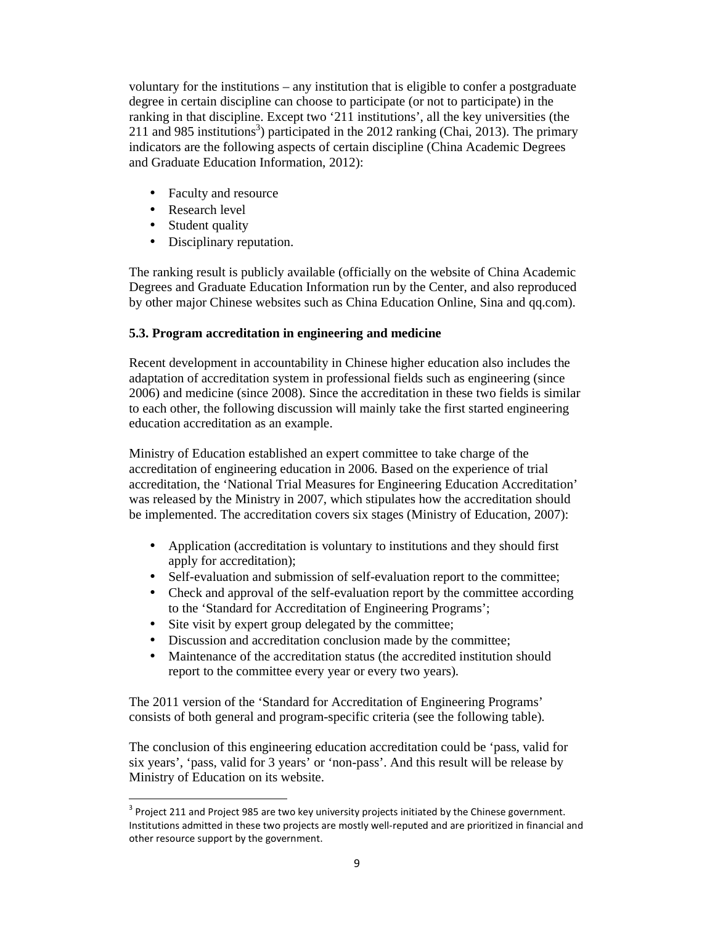voluntary for the institutions – any institution that is eligible to confer a postgraduate degree in certain discipline can choose to participate (or not to participate) in the ranking in that discipline. Except two '211 institutions', all the key universities (the 211 and 985 institutions<sup>3</sup>) participated in the 2012 ranking (Chai, 2013). The primary indicators are the following aspects of certain discipline (China Academic Degrees and Graduate Education Information, 2012):

- Faculty and resource
- Research level
- Student quality

1

• Disciplinary reputation.

The ranking result is publicly available (officially on the website of China Academic Degrees and Graduate Education Information run by the Center, and also reproduced by other major Chinese websites such as China Education Online, Sina and qq.com).

### **5.3. Program accreditation in engineering and medicine**

Recent development in accountability in Chinese higher education also includes the adaptation of accreditation system in professional fields such as engineering (since 2006) and medicine (since 2008). Since the accreditation in these two fields is similar to each other, the following discussion will mainly take the first started engineering education accreditation as an example.

Ministry of Education established an expert committee to take charge of the accreditation of engineering education in 2006. Based on the experience of trial accreditation, the 'National Trial Measures for Engineering Education Accreditation' was released by the Ministry in 2007, which stipulates how the accreditation should be implemented. The accreditation covers six stages (Ministry of Education, 2007):

- Application (accreditation is voluntary to institutions and they should first apply for accreditation);
- Self-evaluation and submission of self-evaluation report to the committee;
- Check and approval of the self-evaluation report by the committee according to the 'Standard for Accreditation of Engineering Programs';
- Site visit by expert group delegated by the committee;
- Discussion and accreditation conclusion made by the committee;
- Maintenance of the accreditation status (the accredited institution should report to the committee every year or every two years).

The 2011 version of the 'Standard for Accreditation of Engineering Programs' consists of both general and program-specific criteria (see the following table).

The conclusion of this engineering education accreditation could be 'pass, valid for six years', 'pass, valid for 3 years' or 'non-pass'. And this result will be release by Ministry of Education on its website.

 $3$  Project 211 and Project 985 are two key university projects initiated by the Chinese government. Institutions admitted in these two projects are mostly well-reputed and are prioritized in financial and other resource support by the government.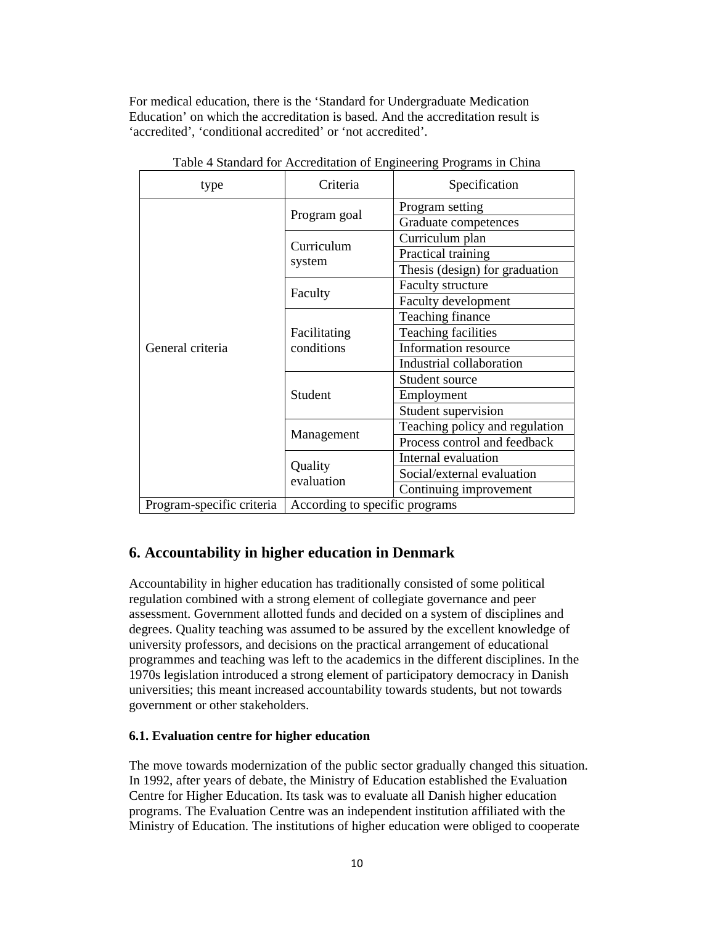For medical education, there is the 'Standard for Undergraduate Medication Education' on which the accreditation is based. And the accreditation result is 'accredited', 'conditional accredited' or 'not accredited'.

| type                      | Criteria                       | Specification                  |
|---------------------------|--------------------------------|--------------------------------|
| General criteria          |                                | Program setting                |
|                           | Program goal                   | Graduate competences           |
|                           | Curriculum<br>system           | Curriculum plan                |
|                           |                                | Practical training             |
|                           |                                | Thesis (design) for graduation |
|                           |                                | Faculty structure              |
|                           | Faculty                        | Faculty development            |
|                           | Facilitating<br>conditions     | Teaching finance               |
|                           |                                | <b>Teaching facilities</b>     |
|                           |                                | Information resource           |
|                           |                                | Industrial collaboration       |
|                           | Student                        | Student source                 |
|                           |                                | Employment                     |
|                           |                                | Student supervision            |
|                           | Management                     | Teaching policy and regulation |
|                           |                                | Process control and feedback   |
|                           | Quality<br>evaluation          | Internal evaluation            |
|                           |                                | Social/external evaluation     |
|                           |                                | Continuing improvement         |
| Program-specific criteria | According to specific programs |                                |

Table 4 Standard for Accreditation of Engineering Programs in China

# **6. Accountability in higher education in Denmark**

Accountability in higher education has traditionally consisted of some political regulation combined with a strong element of collegiate governance and peer assessment. Government allotted funds and decided on a system of disciplines and degrees. Quality teaching was assumed to be assured by the excellent knowledge of university professors, and decisions on the practical arrangement of educational programmes and teaching was left to the academics in the different disciplines. In the 1970s legislation introduced a strong element of participatory democracy in Danish universities; this meant increased accountability towards students, but not towards government or other stakeholders.

#### **6.1. Evaluation centre for higher education**

The move towards modernization of the public sector gradually changed this situation. In 1992, after years of debate, the Ministry of Education established the Evaluation Centre for Higher Education. Its task was to evaluate all Danish higher education programs. The Evaluation Centre was an independent institution affiliated with the Ministry of Education. The institutions of higher education were obliged to cooperate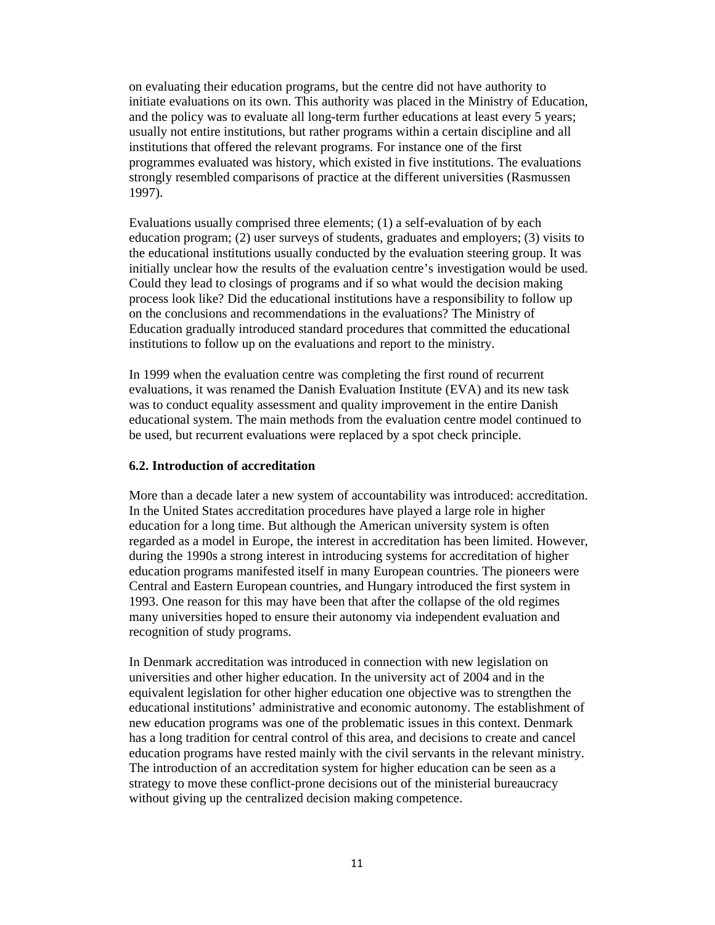on evaluating their education programs, but the centre did not have authority to initiate evaluations on its own. This authority was placed in the Ministry of Education, and the policy was to evaluate all long-term further educations at least every 5 years; usually not entire institutions, but rather programs within a certain discipline and all institutions that offered the relevant programs. For instance one of the first programmes evaluated was history, which existed in five institutions. The evaluations strongly resembled comparisons of practice at the different universities (Rasmussen 1997).

Evaluations usually comprised three elements; (1) a self-evaluation of by each education program; (2) user surveys of students, graduates and employers; (3) visits to the educational institutions usually conducted by the evaluation steering group. It was initially unclear how the results of the evaluation centre's investigation would be used. Could they lead to closings of programs and if so what would the decision making process look like? Did the educational institutions have a responsibility to follow up on the conclusions and recommendations in the evaluations? The Ministry of Education gradually introduced standard procedures that committed the educational institutions to follow up on the evaluations and report to the ministry.

In 1999 when the evaluation centre was completing the first round of recurrent evaluations, it was renamed the Danish Evaluation Institute (EVA) and its new task was to conduct equality assessment and quality improvement in the entire Danish educational system. The main methods from the evaluation centre model continued to be used, but recurrent evaluations were replaced by a spot check principle.

#### **6.2. Introduction of accreditation**

More than a decade later a new system of accountability was introduced: accreditation. In the United States accreditation procedures have played a large role in higher education for a long time. But although the American university system is often regarded as a model in Europe, the interest in accreditation has been limited. However, during the 1990s a strong interest in introducing systems for accreditation of higher education programs manifested itself in many European countries. The pioneers were Central and Eastern European countries, and Hungary introduced the first system in 1993. One reason for this may have been that after the collapse of the old regimes many universities hoped to ensure their autonomy via independent evaluation and recognition of study programs.

In Denmark accreditation was introduced in connection with new legislation on universities and other higher education. In the university act of 2004 and in the equivalent legislation for other higher education one objective was to strengthen the educational institutions' administrative and economic autonomy. The establishment of new education programs was one of the problematic issues in this context. Denmark has a long tradition for central control of this area, and decisions to create and cancel education programs have rested mainly with the civil servants in the relevant ministry. The introduction of an accreditation system for higher education can be seen as a strategy to move these conflict-prone decisions out of the ministerial bureaucracy without giving up the centralized decision making competence.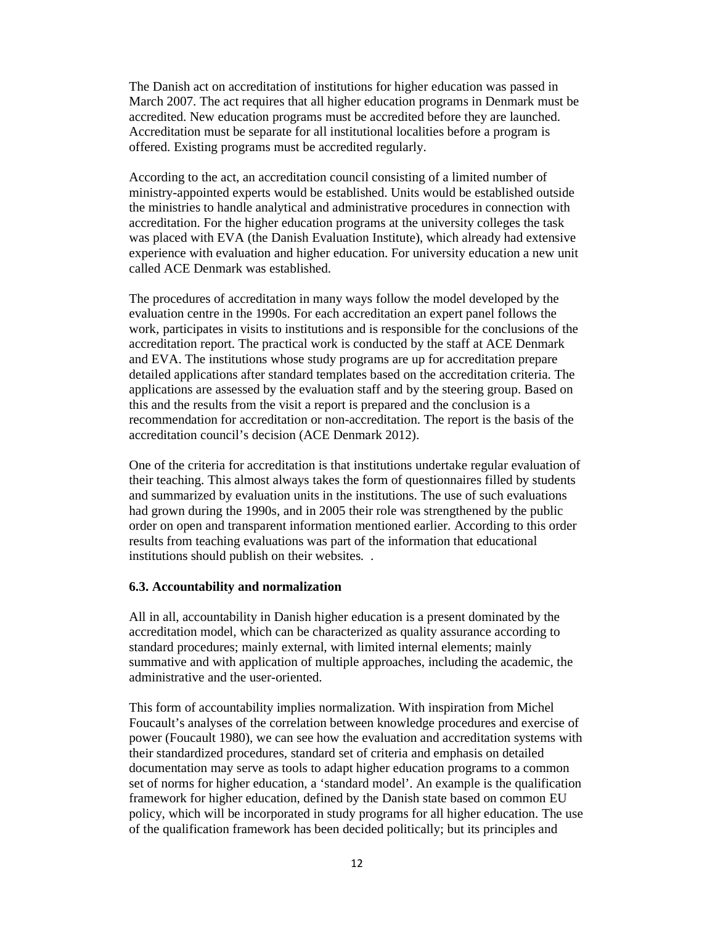The Danish act on accreditation of institutions for higher education was passed in March 2007. The act requires that all higher education programs in Denmark must be accredited. New education programs must be accredited before they are launched. Accreditation must be separate for all institutional localities before a program is offered. Existing programs must be accredited regularly.

According to the act, an accreditation council consisting of a limited number of ministry-appointed experts would be established. Units would be established outside the ministries to handle analytical and administrative procedures in connection with accreditation. For the higher education programs at the university colleges the task was placed with EVA (the Danish Evaluation Institute), which already had extensive experience with evaluation and higher education. For university education a new unit called ACE Denmark was established.

The procedures of accreditation in many ways follow the model developed by the evaluation centre in the 1990s. For each accreditation an expert panel follows the work, participates in visits to institutions and is responsible for the conclusions of the accreditation report. The practical work is conducted by the staff at ACE Denmark and EVA. The institutions whose study programs are up for accreditation prepare detailed applications after standard templates based on the accreditation criteria. The applications are assessed by the evaluation staff and by the steering group. Based on this and the results from the visit a report is prepared and the conclusion is a recommendation for accreditation or non-accreditation. The report is the basis of the accreditation council's decision (ACE Denmark 2012).

One of the criteria for accreditation is that institutions undertake regular evaluation of their teaching. This almost always takes the form of questionnaires filled by students and summarized by evaluation units in the institutions. The use of such evaluations had grown during the 1990s, and in 2005 their role was strengthened by the public order on open and transparent information mentioned earlier. According to this order results from teaching evaluations was part of the information that educational institutions should publish on their websites. .

#### **6.3. Accountability and normalization**

All in all, accountability in Danish higher education is a present dominated by the accreditation model, which can be characterized as quality assurance according to standard procedures; mainly external, with limited internal elements; mainly summative and with application of multiple approaches, including the academic, the administrative and the user-oriented.

This form of accountability implies normalization. With inspiration from Michel Foucault's analyses of the correlation between knowledge procedures and exercise of power (Foucault 1980), we can see how the evaluation and accreditation systems with their standardized procedures, standard set of criteria and emphasis on detailed documentation may serve as tools to adapt higher education programs to a common set of norms for higher education, a 'standard model'. An example is the qualification framework for higher education, defined by the Danish state based on common EU policy, which will be incorporated in study programs for all higher education. The use of the qualification framework has been decided politically; but its principles and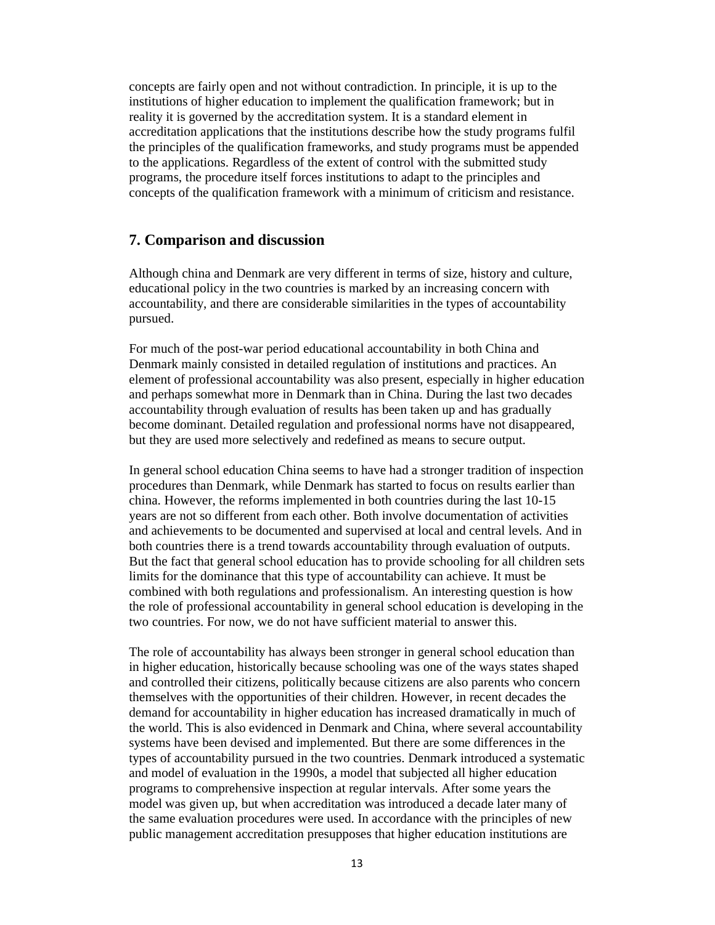concepts are fairly open and not without contradiction. In principle, it is up to the institutions of higher education to implement the qualification framework; but in reality it is governed by the accreditation system. It is a standard element in accreditation applications that the institutions describe how the study programs fulfil the principles of the qualification frameworks, and study programs must be appended to the applications. Regardless of the extent of control with the submitted study programs, the procedure itself forces institutions to adapt to the principles and concepts of the qualification framework with a minimum of criticism and resistance.

### **7. Comparison and discussion**

Although china and Denmark are very different in terms of size, history and culture, educational policy in the two countries is marked by an increasing concern with accountability, and there are considerable similarities in the types of accountability pursued.

For much of the post-war period educational accountability in both China and Denmark mainly consisted in detailed regulation of institutions and practices. An element of professional accountability was also present, especially in higher education and perhaps somewhat more in Denmark than in China. During the last two decades accountability through evaluation of results has been taken up and has gradually become dominant. Detailed regulation and professional norms have not disappeared, but they are used more selectively and redefined as means to secure output.

In general school education China seems to have had a stronger tradition of inspection procedures than Denmark, while Denmark has started to focus on results earlier than china. However, the reforms implemented in both countries during the last 10-15 years are not so different from each other. Both involve documentation of activities and achievements to be documented and supervised at local and central levels. And in both countries there is a trend towards accountability through evaluation of outputs. But the fact that general school education has to provide schooling for all children sets limits for the dominance that this type of accountability can achieve. It must be combined with both regulations and professionalism. An interesting question is how the role of professional accountability in general school education is developing in the two countries. For now, we do not have sufficient material to answer this.

The role of accountability has always been stronger in general school education than in higher education, historically because schooling was one of the ways states shaped and controlled their citizens, politically because citizens are also parents who concern themselves with the opportunities of their children. However, in recent decades the demand for accountability in higher education has increased dramatically in much of the world. This is also evidenced in Denmark and China, where several accountability systems have been devised and implemented. But there are some differences in the types of accountability pursued in the two countries. Denmark introduced a systematic and model of evaluation in the 1990s, a model that subjected all higher education programs to comprehensive inspection at regular intervals. After some years the model was given up, but when accreditation was introduced a decade later many of the same evaluation procedures were used. In accordance with the principles of new public management accreditation presupposes that higher education institutions are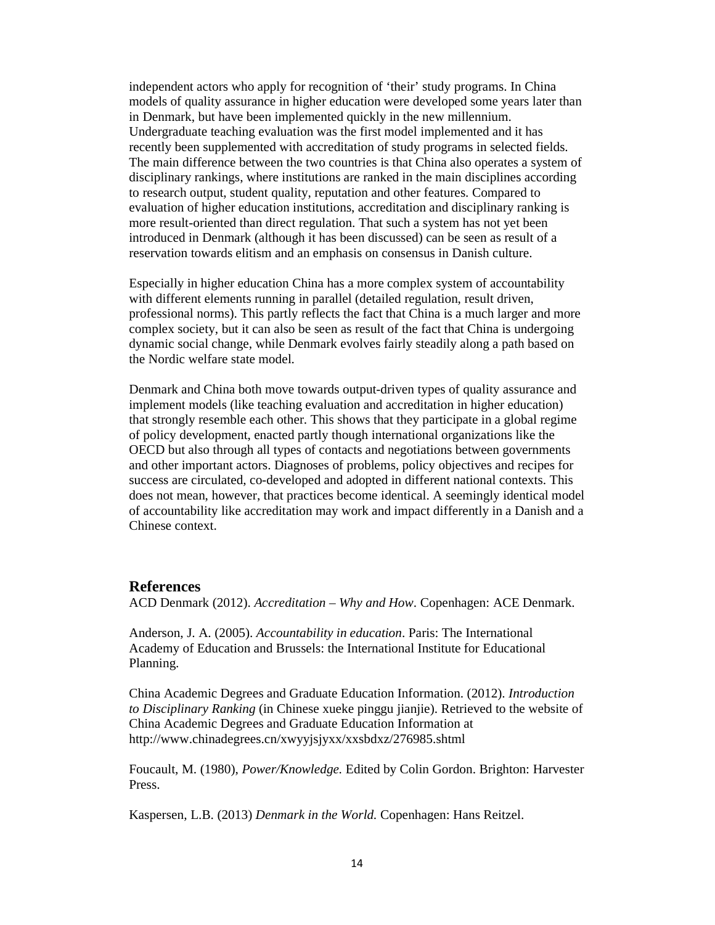independent actors who apply for recognition of 'their' study programs. In China models of quality assurance in higher education were developed some years later than in Denmark, but have been implemented quickly in the new millennium. Undergraduate teaching evaluation was the first model implemented and it has recently been supplemented with accreditation of study programs in selected fields. The main difference between the two countries is that China also operates a system of disciplinary rankings, where institutions are ranked in the main disciplines according to research output, student quality, reputation and other features. Compared to evaluation of higher education institutions, accreditation and disciplinary ranking is more result-oriented than direct regulation. That such a system has not yet been introduced in Denmark (although it has been discussed) can be seen as result of a reservation towards elitism and an emphasis on consensus in Danish culture.

Especially in higher education China has a more complex system of accountability with different elements running in parallel (detailed regulation, result driven, professional norms). This partly reflects the fact that China is a much larger and more complex society, but it can also be seen as result of the fact that China is undergoing dynamic social change, while Denmark evolves fairly steadily along a path based on the Nordic welfare state model.

Denmark and China both move towards output-driven types of quality assurance and implement models (like teaching evaluation and accreditation in higher education) that strongly resemble each other. This shows that they participate in a global regime of policy development, enacted partly though international organizations like the OECD but also through all types of contacts and negotiations between governments and other important actors. Diagnoses of problems, policy objectives and recipes for success are circulated, co-developed and adopted in different national contexts. This does not mean, however, that practices become identical. A seemingly identical model of accountability like accreditation may work and impact differently in a Danish and a Chinese context.

#### **References**

ACD Denmark (2012). *Accreditation – Why and How*. Copenhagen: ACE Denmark.

Anderson, J. A. (2005). *Accountability in education*. Paris: The International Academy of Education and Brussels: the International Institute for Educational Planning.

China Academic Degrees and Graduate Education Information. (2012). *Introduction to Disciplinary Ranking* (in Chinese xueke pinggu jianjie). Retrieved to the website of China Academic Degrees and Graduate Education Information at http://www.chinadegrees.cn/xwyyjsjyxx/xxsbdxz/276985.shtml

Foucault, M. (1980), *Power/Knowledge.* Edited by Colin Gordon. Brighton: Harvester Press.

Kaspersen, L.B. (2013) *Denmark in the World.* Copenhagen: Hans Reitzel.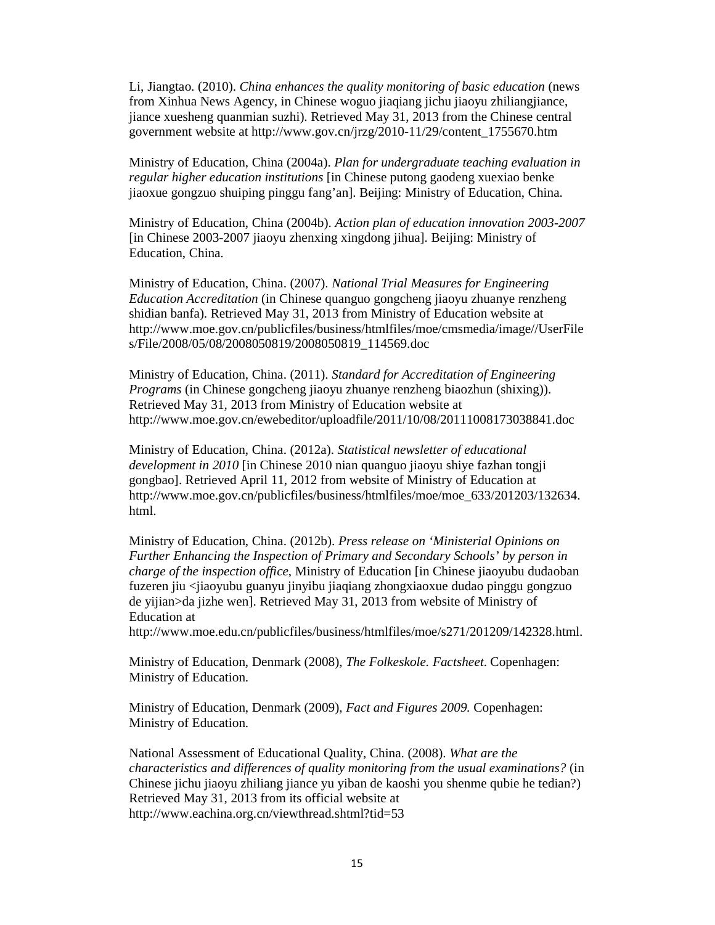Li, Jiangtao. (2010). *China enhances the quality monitoring of basic education* (news from Xinhua News Agency, in Chinese woguo jiaqiang jichu jiaoyu zhiliangjiance, jiance xuesheng quanmian suzhi). Retrieved May 31, 2013 from the Chinese central government website at http://www.gov.cn/jrzg/2010-11/29/content\_1755670.htm

Ministry of Education, China (2004a). *Plan for undergraduate teaching evaluation in regular higher education institutions* [in Chinese putong gaodeng xuexiao benke jiaoxue gongzuo shuiping pinggu fang'an]. Beijing: Ministry of Education, China.

Ministry of Education, China (2004b). *Action plan of education innovation 2003-2007* [in Chinese 2003-2007 jiaoyu zhenxing xingdong jihua]. Beijing: Ministry of Education, China.

Ministry of Education, China. (2007). *National Trial Measures for Engineering Education Accreditation* (in Chinese quanguo gongcheng jiaoyu zhuanye renzheng shidian banfa). Retrieved May 31, 2013 from Ministry of Education website at http://www.moe.gov.cn/publicfiles/business/htmlfiles/moe/cmsmedia/image//UserFile s/File/2008/05/08/2008050819/2008050819\_114569.doc

Ministry of Education, China. (2011). *Standard for Accreditation of Engineering Programs* (in Chinese gongcheng jiaoyu zhuanye renzheng biaozhun (shixing)). Retrieved May 31, 2013 from Ministry of Education website at http://www.moe.gov.cn/ewebeditor/uploadfile/2011/10/08/20111008173038841.doc

Ministry of Education, China. (2012a). *Statistical newsletter of educational development in 2010* [in Chinese 2010 nian quanguo jiaoyu shiye fazhan tongji gongbao]. Retrieved April 11, 2012 from website of Ministry of Education at http://www.moe.gov.cn/publicfiles/business/htmlfiles/moe/moe\_633/201203/132634. html.

Ministry of Education, China. (2012b). *Press release on 'Ministerial Opinions on Further Enhancing the Inspection of Primary and Secondary Schools' by person in charge of the inspection office*, Ministry of Education [in Chinese jiaoyubu dudaoban fuzeren jiu <jiaoyubu guanyu jinyibu jiaqiang zhongxiaoxue dudao pinggu gongzuo de yijian>da jizhe wen]. Retrieved May 31, 2013 from website of Ministry of Education at

http://www.moe.edu.cn/publicfiles/business/htmlfiles/moe/s271/201209/142328.html.

Ministry of Education, Denmark (2008), *The Folkeskole. Factsheet*. Copenhagen: Ministry of Education.

Ministry of Education, Denmark (2009), *Fact and Figures 2009.* Copenhagen: Ministry of Education.

National Assessment of Educational Quality, China. (2008). *What are the characteristics and differences of quality monitoring from the usual examinations?* (in Chinese jichu jiaoyu zhiliang jiance yu yiban de kaoshi you shenme qubie he tedian?) Retrieved May 31, 2013 from its official website at http://www.eachina.org.cn/viewthread.shtml?tid=53